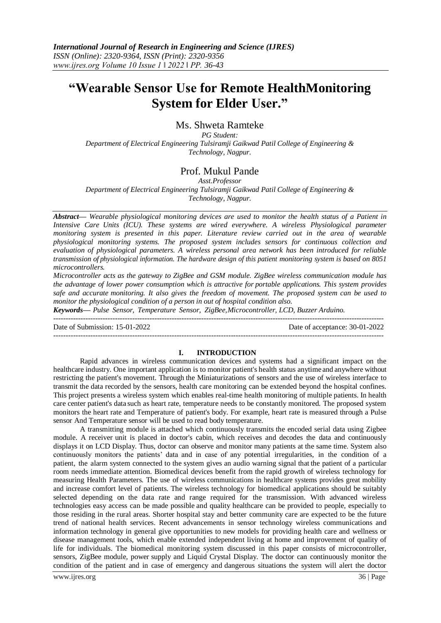# **"Wearable Sensor Use for Remote HealthMonitoring System for Elder User."**

# Ms. Shweta Ramteke

*PG Student: Department of Electrical Engineering Tulsiramji Gaikwad Patil College of Engineering & Technology, Nagpur.*

# Prof. Mukul Pande

*Asst.Professor Department of Electrical Engineering Tulsiramji Gaikwad Patil College of Engineering & Technology, Nagpur.*

*Abstract— Wearable physiological monitoring devices are used to monitor the health status of a Patient in Intensive Care Units (ICU). These systems are wired everywhere. A wireless Physiological parameter monitoring system is presented in this paper. Literature review carried out in the area of wearable physiological monitoring systems. The proposed system includes sensors for continuous collection and evaluation of physiological parameters. A wireless personal area network has been introduced for reliable transmission of physiological information. The hardware design of this patient monitoring system is based on 8051 microcontrollers.*

*Microcontroller acts as the gateway to ZigBee and GSM module. ZigBee wireless communication module has the advantage of lower power consumption which is attractive for portable applications. This system provides safe and accurate monitoring. It also gives the freedom of movement. The proposed system can be used to monitor the physiological condition of a person in out of hospital condition also.*

*Keywords— Pulse Sensor, Temperature Sensor, ZigBee,Microcontroller, LCD, Buzzer Arduino.*

Date of Submission: 15-01-2022 Date of acceptance: 30-01-2022

### **I. INTRODUCTION**

--------------------------------------------------------------------------------------------------------------------------------------

--------------------------------------------------------------------------------------------------------------------------------------

Rapid advances in wireless communication devices and systems had a significant impact on the healthcare industry. One important application is to monitor patient's health status anytime and anywhere without restricting the patient's movement. Through the Miniaturizations of sensors and the use of wireless interface to transmit the data recorded by the sensors, health care monitoring can be extended beyond the hospital confines. This project presents a wireless system which enables real-time health monitoring of multiple patients. In health care center patient's data such as heart rate, temperature needs to be constantly monitored. The proposed system monitors the heart rate and Temperature of patient's body. For example, heart rate is measured through a Pulse sensor And Temperature sensor will be used to read body temperature.

A transmitting module is attached which continuously transmits the encoded serial data using Zigbee module. A receiver unit is placed in doctor's cabin, which receives and decodes the data and continuously displays it on LCD Display. Thus, doctor can observe and monitor many patients at the same time. System also continuously monitors the patients' data and in case of any potential irregularities, in the condition of a patient, the alarm system connected to the system gives an audio warning signal that the patient of a particular room needs immediate attention. Biomedical devices benefit from the rapid growth of wireless technology for measuring Health Parameters. The use of wireless communications in healthcare systems provides great mobility and increase comfort level of patients. The wireless technology for biomedical applications should be suitably selected depending on the data rate and range required for the transmission. With advanced wireless technologies easy access can be made possible and quality healthcare can be provided to people, especially to those residing in the rural areas. Shorter hospital stay and better community care are expected to be the future trend of national health services. Recent advancements in sensor technology wireless communications and information technology in general give opportunities to new models for providing health care and wellness or disease management tools, which enable extended independent living at home and improvement of quality of life for individuals. The biomedical monitoring system discussed in this paper consists of microcontroller, sensors, ZigBee module, power supply and Liquid Crystal Display. The doctor can continuously monitor the condition of the patient and in case of emergency and dangerous situations the system will alert the doctor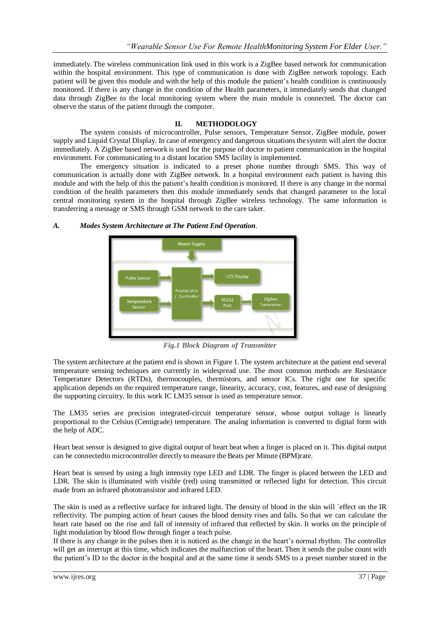immediately. The wireless communication link used in this work is a ZigBee based network for communication within the hospital environment. This type of communication is done with ZigBee network topology. Each patient will be given this module and with the help of this module the patient's health condition is continuously monitored. If there is any change in the condition of the Health parameters, it immediately sends that changed data through ZigBee to the local monitoring system where the main module is connected. The doctor can observe the status of the patient through the computer.

### **II. METHODOLOGY**

The system consists of microcontroller, Pulse sensors, Temperature Sensor, ZigBee module, power supply and Liquid Crystal Display. In case of emergency and dangerous situations the system will alert the doctor immediately. A ZigBee based network is used for the purpose of doctor to patient communication in the hospital environment. For communicating to a distant location SMS facility is implemented.

The emergency situation is indicated to a preset phone number through SMS. This way of communication is actually done with ZigBee network. In a hospital environment each patient is having this module and with the help of this the patient's health condition is monitored. If there is any change in the normal condition of the health parameters then this module immediately sends that changed parameter to the local central monitoring system in the hospital through ZigBee wireless technology. The same information is transferring a message or SMS through GSM network to the care taker.

### *A. Modes System Architecture at The Patient End Operation*.



*Fig.1 Block Diagram of Transmitter*

The system architecture at the patient end is shown in Figure 1.The system architecture at the patient end several temperature sensing techniques are currently in widespread use. The most common methods are Resistance Temperature Detectors (RTDs), thermocouples, thermistors, and sensor ICs. The right one for specific application depends on the required temperature range, linearity, accuracy, cost, features, and ease of designing the supporting circuitry. In this work IC LM35 sensor is used as temperature sensor.

The LM35 series are precision integrated-circuit temperature sensor, whose output voltage is linearly proportional to the Celsius (Centigrade) temperature. The analog information is converted to digital form with the help of ADC.

Heart beat sensor is designed to give digital output of heart beat when a finger is placed on it. This digital output can be connectedto microcontroller directly to measure the Beats per Minute (BPM)rate.

Heart beat is sensed by using a high intensity type LED and LDR. The finger is placed between the LED and LDR. The skin is illuminated with visible (red) using transmitted or reflected light for detection. This circuit made from an infrared phototransistor and infrared LED.

The skin is used as a reflective surface for infrared light. The density of blood in the skin will `effect on the IR reflectivity. The pumping action of heart causes the blood density rises and falls. So that we can calculate the heart rate based on the rise and fall of intensity of infrared that reflected by skin. It works on the principle of light modulation by blood flow through finger a teach pulse.

If there is any change in the pulses then it is noticed as the change in the heart's normal rhythm. The controller will get an interrupt at this time, which indicates the malfunction of the heart.Then it sends the pulse count with the patient's ID to the doctor in the hospital and at the same time it sends SMS to a preset number stored in the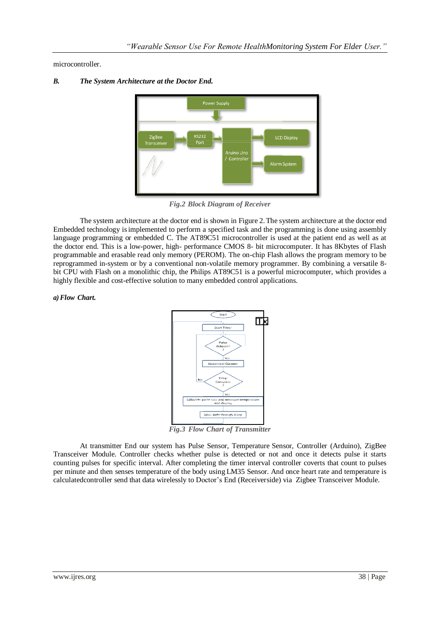microcontroller.





*Fig.2 Block Diagram of Receiver*

The system architecture at the doctor end is shown in Figure 2.The system architecture at the doctor end Embedded technology isimplemented to perform a specified task and the programming is done using assembly language programming or embedded C. The AT89C51 microcontroller is used at the patient end as well as at the doctor end. This is a low-power, high- performance CMOS 8- bit microcomputer. It has 8Kbytes of Flash programmable and erasable read only memory (PEROM). The on-chip Flash allows the program memory to be reprogrammed in-system or by a conventional non-volatile memory programmer. By combining a versatile 8 bit CPU with Flash on a monolithic chip, the Philips AT89C51 is a powerful microcomputer, which provides a highly flexible and cost-effective solution to many embedded control applications.

### *a)Flow Chart.*



*Fig.3 Flow Chart of Transmitter*

At transmitter End our system has Pulse Sensor, Temperature Sensor, Controller (Arduino), ZigBee Transceiver Module. Controller checks whether pulse is detected or not and once it detects pulse it starts counting pulses for specific interval. After completing the timer interval controller coverts that count to pulses per minute and then senses temperature of the body using LM35 Sensor. And once heart rate and temperature is calculatedcontroller send that data wirelessly to Doctor's End (Receiverside) via Zigbee Transceiver Module.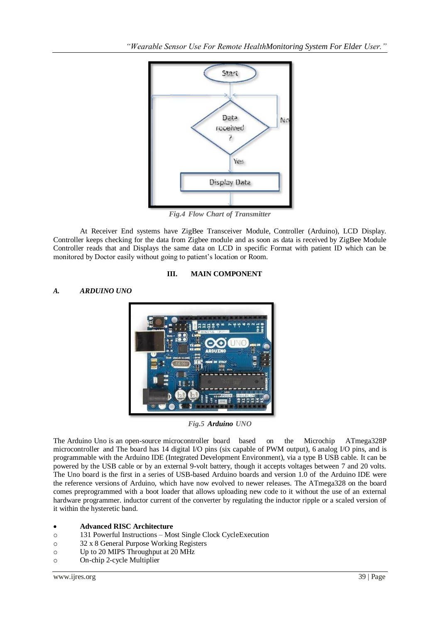

*Fig.4 Flow Chart of Transmitter*

At Receiver End systems have ZigBee Transceiver Module, Controller (Arduino), LCD Display. Controller keeps checking for the data from Zigbee module and as soon as data is received by ZigBee Module Controller reads that and Displays the same data on LCD in specific Format with patient ID which can be monitored by Doctor easily without going to patient's location or Room.

## **III. MAIN COMPONENT**

# *A. ARDUINO UNO*



*Fig.5 Arduino UNO*

The Arduino Uno is an open-source microcontroller board based on the Microchip ATmega328P microcontroller and The board has 14 digital I/O pins (six capable of PWM output), 6 analog I/O pins, and is programmable with the Arduino IDE (Integrated Development Environment), via a type B USB cable. It can be powered by the USB cable or by an external 9-volt battery, though it accepts voltages between 7 and 20 volts. The Uno board is the first in a series of USB-based Arduino boards and version 1.0 of the Arduino IDE were the reference versions of Arduino, which have now evolved to newer releases. The ATmega328 on the board comes preprogrammed with a boot loader that allows uploading new code to it without the use of an external hardware programmer. inductor current of the converter by regulating the inductor ripple or a scaled version of it within the hysteretic band.

### **Advanced RISC Architecture**

- o 131 Powerful Instructions Most Single Clock CycleExecution
- o 32 x 8 General Purpose Working Registers
- o Up to 20 MIPS Throughput at 20 MHz
- o On-chip 2-cycle Multiplier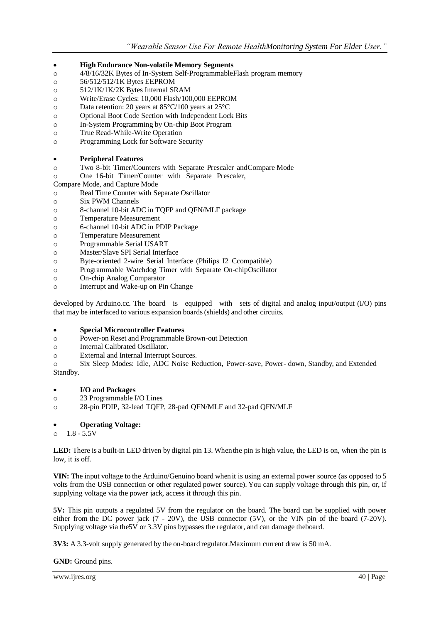- **High Endurance Non-volatile Memory Segments**
- o 4/8/16/32K Bytes of In-System Self-ProgrammableFlash program memory
- o 56/512/512/1K Bytes EEPROM
- o 512/1K/1K/2K Bytes Internal SRAM
- o Write/Erase Cycles: 10,000 Flash/100,000 EEPROM
- o Data retention: 20 years at 85°C/100 years at 25°C
- o Optional Boot Code Section with Independent Lock Bits
- o In-System Programming by On-chip Boot Program
- o True Read-While-Write Operation
- o Programming Lock for Software Security

### **Peripheral Features**

- o Two 8-bit Timer/Counters with Separate Prescaler andCompare Mode
- o One 16-bit Timer/Counter with Separate Prescaler,
- Compare Mode, and Capture Mode
- o Real Time Counter with Separate Oscillator
- o Six PWM Channels
- o 8-channel 10-bit ADC in TQFP and QFN/MLF package
- o Temperature Measurement
- o 6-channel 10-bit ADC in PDIP Package
- o Temperature Measurement
- o Programmable Serial USART
- o Master/Slave SPI Serial Interface
- o Byte-oriented 2-wire Serial Interface (Philips I2 Ccompatible)
- o Programmable Watchdog Timer with Separate On-chipOscillator
- o On-chip Analog Comparator
- o Interrupt and Wake-up on Pin Change

developed by Arduino.cc. The board is equipped with sets of digital and analog input/output (I/O) pins that may be interfaced to various expansion boards(shields) and other circuits.

### **Special Microcontroller Features**

- o Power-on Reset and Programmable Brown-out Detection
- o Internal Calibrated Oscillator.
- o External and Internal Interrupt Sources.

o Six Sleep Modes: Idle, ADC Noise Reduction, Power-save, Power- down, Standby, and Extended Standby.

- **I/O and Packages**
- o 23 Programmable I/O Lines
- o 28-pin PDIP, 32-lead TQFP, 28-pad QFN/MLF and 32-pad QFN/MLF

### **Operating Voltage:**

 $0 \t 1.8 - 5.5V$ 

**LED:** There is a built-in LED driven by digital pin 13. Whenthe pin is high value, the LED is on, when the pin is low, it is off.

**VIN:** The input voltage to the Arduino/Genuino board whenit is using an external power source (as opposed to 5 volts from the USB connection or other regulated power source). You can supply voltage through this pin, or, if supplying voltage via the power jack, access it through this pin.

**5V:** This pin outputs a regulated 5V from the regulator on the board. The board can be supplied with power either from the DC power jack (7 - 20V), the USB connector (5V), or the VIN pin of the board (7-20V). Supplying voltage via the 5V or 3.3V pins bypasses the regulator, and can damage the board.

**3V3:** A 3.3-volt supply generated by the on-board regulator.Maximum current draw is 50 mA.

**GND:** Ground pins.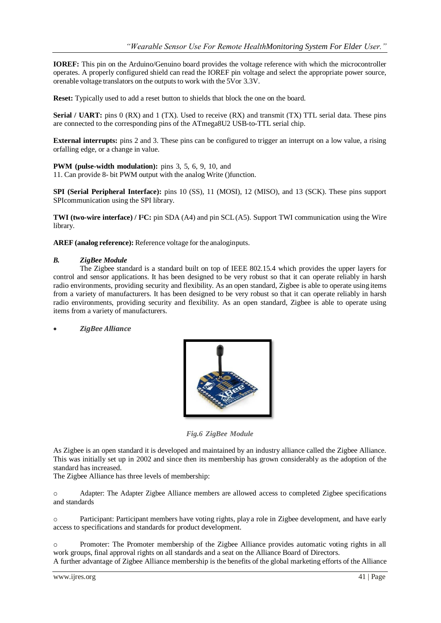**IOREF:** This pin on the Arduino/Genuino board provides the voltage reference with which the microcontroller operates. A properly configured shield can read the IOREF pin voltage and select the appropriate power source, orenable voltage translators on the outputs to work with the 5Vor 3.3V.

**Reset:** Typically used to add a reset button to shields that block the one on the board.

**Serial / UART:** pins 0 (RX) and 1 (TX). Used to receive (RX) and transmit (TX) TTL serial data. These pins are connected to the corresponding pins of the ATmega8U2 USB-to-TTL serial chip.

**External interrupts:** pins 2 and 3. These pins can be configured to trigger an interrupt on a low value, a rising orfalling edge, or a change in value.

**PWM (pulse-width modulation):** pins 3, 5, 6, 9, 10, and 11. Can provide 8- bit PWM output with the analog Write ()function.

**SPI (Serial Peripheral Interface):** pins 10 (SS), 11 (MOSI), 12 (MISO), and 13 (SCK). These pins support SPIcommunication using the SPI library.

**TWI (two-wire interface) / I²C:** pin SDA (A4) and pin SCL(A5). Support TWI communication using the Wire library.

**AREF (analog reference):** Reference voltage for the analoginputs.

### *B. ZigBee Module*

The Zigbee standard is a standard built on top of IEEE 802.15.4 which provides the upper layers for control and sensor applications. It has been designed to be very robust so that it can operate reliably in harsh radio environments, providing security and flexibility. As an open standard, Zigbee is able to operate using items from a variety of manufacturers. It has been designed to be very robust so that it can operate reliably in harsh radio environments, providing security and flexibility. As an open standard, Zigbee is able to operate using items from a variety of manufacturers.

*ZigBee Alliance*



*Fig.6 ZigBee Module*

As Zigbee is an open standard it is developed and maintained by an industry alliance called the Zigbee Alliance. This was initially set up in 2002 and since then its membership has grown considerably as the adoption of the standard has increased.

The Zigbee Alliance has three levels of membership:

o Adapter: The Adapter Zigbee Alliance members are allowed access to completed Zigbee specifications and standards

o Participant: Participant members have voting rights, playa role in Zigbee development, and have early access to specifications and standards for product development.

o Promoter: The Promoter membership of the Zigbee Alliance provides automatic voting rights in all work groups, final approval rights on all standards and a seat on the Alliance Board of Directors.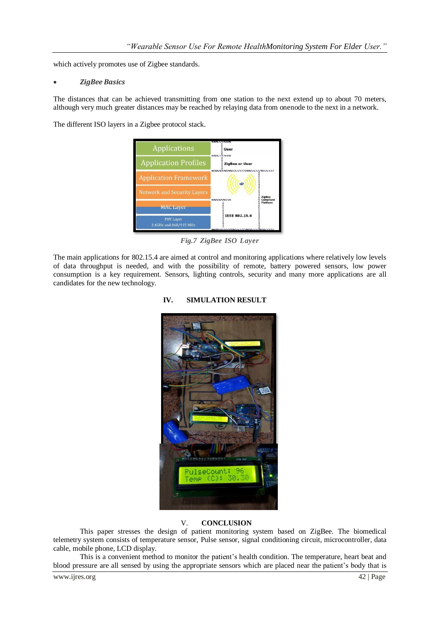which actively promotes use of Zigbee standards.

### *ZigBee Basics*

The distances that can be achieved transmitting from one station to the next extend up to about 70 meters, although very much greater distances may be reached by relaying data from onenode to the next in a network.

The different ISO layers in a Zigbee protocol stack.



*Fig.7 ZigBee ISO Layer*

The main applications for 802.15.4 are aimed at control and monitoring applications where relatively low levels of data throughput is needed, and with the possibility of remote, battery powered sensors, low power consumption is a key requirement. Sensors, lighting controls, security and many more applications are all candidates for the new technology.

# ulseCount'

# **IV. SIMULATION RESULT**

### V. **CONCLUSION**

This paper stresses the design of patient monitoring system based on ZigBee. The biomedical telemetry system consists of temperature sensor, Pulse sensor, signal conditioning circuit, microcontroller, data cable, mobile phone, LCD display.

This is a convenient method to monitor the patient's health condition. The temperature, heart beat and blood pressure are all sensed by using the appropriate sensors which are placed near the patient's body that is